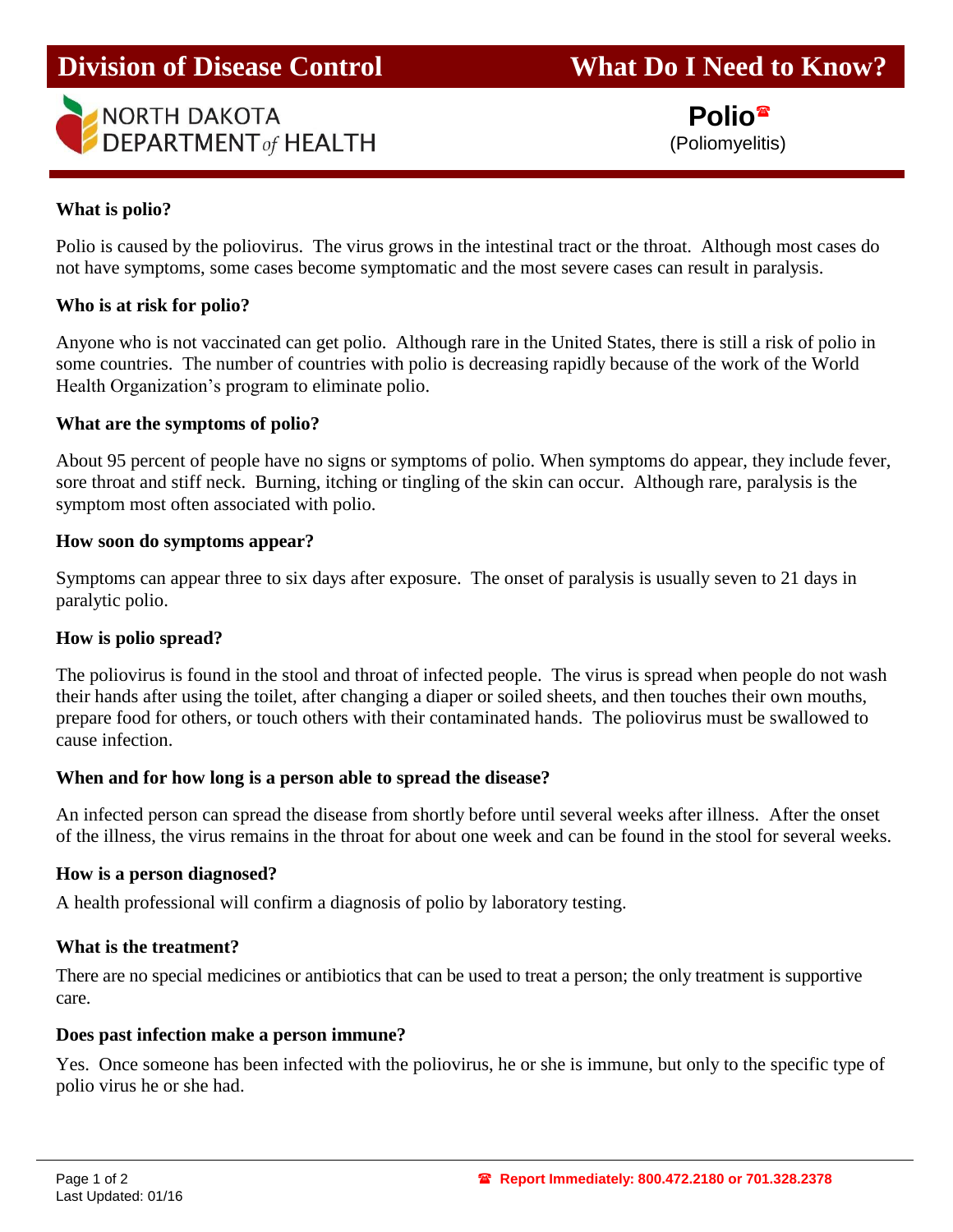# **Division of Disease Control What Do I Need to Know?**



 **Polio** (Poliomyelitis)

# **What is polio?**

j

Polio is caused by the poliovirus. The virus grows in the intestinal tract or the throat. Although most cases do not have symptoms, some cases become symptomatic and the most severe cases can result in paralysis.

## **Who is at risk for polio?**

Anyone who is not vaccinated can get polio. Although rare in the United States, there is still a risk of polio in some countries. The number of countries with polio is decreasing rapidly because of the work of the World Health Organization's program to eliminate polio.

## **What are the symptoms of polio?**

About 95 percent of people have no signs or symptoms of polio. When symptoms do appear, they include fever, sore throat and stiff neck. Burning, itching or tingling of the skin can occur. Although rare, paralysis is the symptom most often associated with polio.

## **How soon do symptoms appear?**

Symptoms can appear three to six days after exposure. The onset of paralysis is usually seven to 21 days in paralytic polio.

## **How is polio spread?**

The poliovirus is found in the stool and throat of infected people. The virus is spread when people do not wash their hands after using the toilet, after changing a diaper or soiled sheets, and then touches their own mouths, prepare food for others, or touch others with their contaminated hands. The poliovirus must be swallowed to cause infection.

## **When and for how long is a person able to spread the disease?**

An infected person can spread the disease from shortly before until several weeks after illness. After the onset of the illness, the virus remains in the throat for about one week and can be found in the stool for several weeks.

#### **How is a person diagnosed?**

A health professional will confirm a diagnosis of polio by laboratory testing.

#### **What is the treatment?**

There are no special medicines or antibiotics that can be used to treat a person; the only treatment is supportive care.

#### **Does past infection make a person immune?**

Yes. Once someone has been infected with the poliovirus, he or she is immune, but only to the specific type of polio virus he or she had.